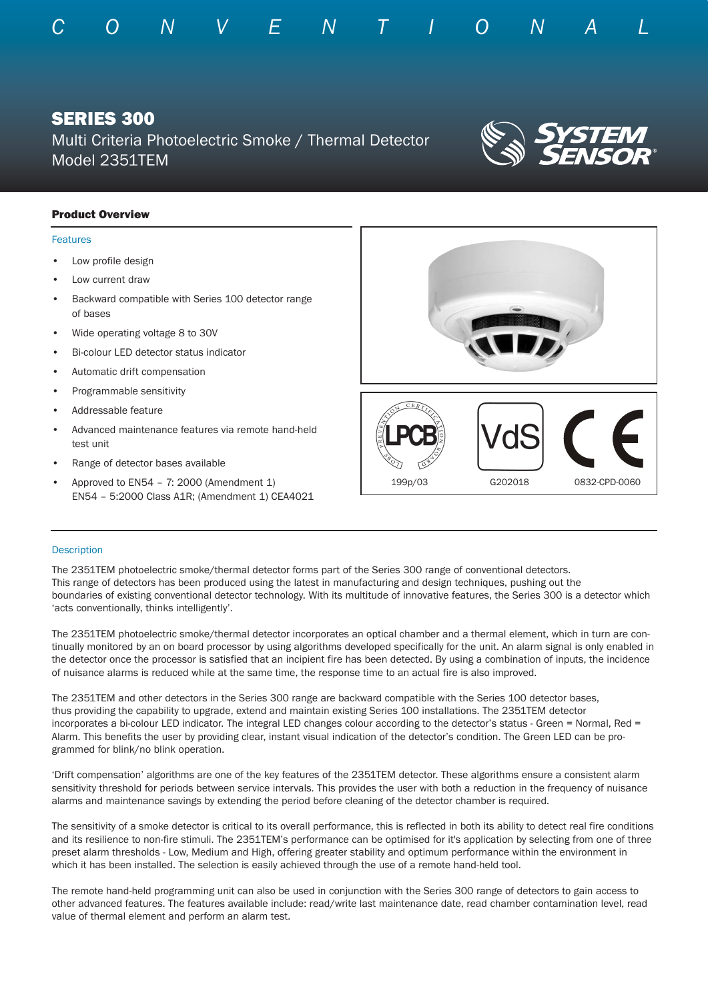

# SERIES 300

Multi Criteria Photoelectric Smoke / Thermal Detector Model 2351TEM



## Product Overview

#### Features

- Low profile design
- Low current draw
- Backward compatible with Series 100 detector range of bases
- Wide operating voltage 8 to 30V
- Bi-colour LED detector status indicator
- Automatic drift compensation
- Programmable sensitivity
- Addressable feature
- Advanced maintenance features via remote hand-held test unit
- Range of detector bases available
- Approved to  $EN54 7: 2000$  (Amendment 1) EN54 – 5:2000 Class A1R; (Amendment 1) CEA4021



#### **Description**

The 2351TEM photoelectric smoke/thermal detector forms part of the Series 300 range of conventional detectors. This range of detectors has been produced using the latest in manufacturing and design techniques, pushing out the boundaries of existing conventional detector technology. With its multitude of innovative features, the Series 300 is a detector which 'acts conventionally, thinks intelligently'.

The 2351TEM photoelectric smoke/thermal detector incorporates an optical chamber and a thermal element, which in turn are continually monitored by an on board processor by using algorithms developed specifically for the unit. An alarm signal is only enabled in the detector once the processor is satisfied that an incipient fire has been detected. By using a combination of inputs, the incidence of nuisance alarms is reduced while at the same time, the response time to an actual fire is also improved.

The 2351TEM and other detectors in the Series 300 range are backward compatible with the Series 100 detector bases, thus providing the capability to upgrade, extend and maintain existing Series 100 installations. The 2351TEM detector incorporates a bi-colour LED indicator. The integral LED changes colour according to the detector's status - Green = Normal, Red = Alarm. This benefits the user by providing clear, instant visual indication of the detector's condition. The Green LED can be programmed for blink/no blink operation.

'Drift compensation' algorithms are one of the key features of the 2351TEM detector. These algorithms ensure a consistent alarm sensitivity threshold for periods between service intervals. This provides the user with both a reduction in the frequency of nuisance alarms and maintenance savings by extending the period before cleaning of the detector chamber is required.

The sensitivity of a smoke detector is critical to its overall performance, this is reflected in both its ability to detect real fire conditions and its resilience to non-fire stimuli. The 2351TEM's performance can be optimised for it's application by selecting from one of three preset alarm thresholds - Low, Medium and High, offering greater stability and optimum performance within the environment in which it has been installed. The selection is easily achieved through the use of a remote hand-held tool.

The remote hand-held programming unit can also be used in conjunction with the Series 300 range of detectors to gain access to other advanced features. The features available include: read/write last maintenance date, read chamber contamination level, read value of thermal element and perform an alarm test.